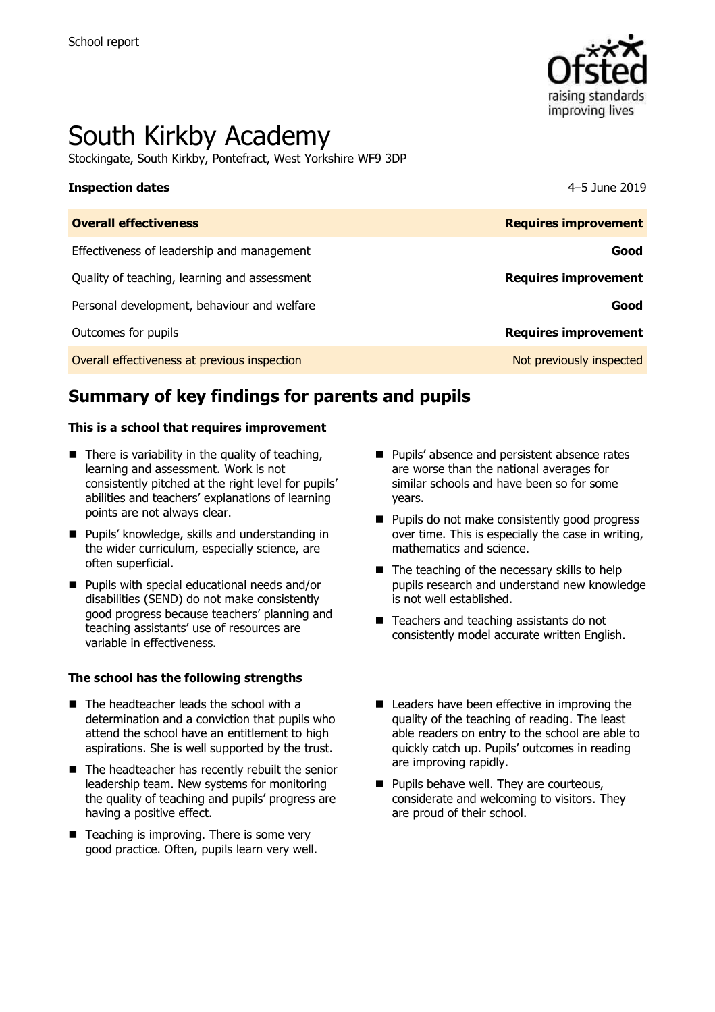

# South Kirkby Academy

Stockingate, South Kirkby, Pontefract, West Yorkshire WF9 3DP

### **Inspection dates** 4–5 June 2019

| <b>Overall effectiveness</b>                 | <b>Requires improvement</b> |
|----------------------------------------------|-----------------------------|
| Effectiveness of leadership and management   | Good                        |
| Quality of teaching, learning and assessment | <b>Requires improvement</b> |
| Personal development, behaviour and welfare  | Good                        |
| Outcomes for pupils                          | <b>Requires improvement</b> |
| Overall effectiveness at previous inspection | Not previously inspected    |

# **Summary of key findings for parents and pupils**

### **This is a school that requires improvement**

- $\blacksquare$  There is variability in the quality of teaching, learning and assessment. Work is not consistently pitched at the right level for pupils' abilities and teachers' explanations of learning points are not always clear.
- **Pupils' knowledge, skills and understanding in** the wider curriculum, especially science, are often superficial.
- **Pupils with special educational needs and/or** disabilities (SEND) do not make consistently good progress because teachers' planning and teaching assistants' use of resources are variable in effectiveness.

### **The school has the following strengths**

- The headteacher leads the school with a determination and a conviction that pupils who attend the school have an entitlement to high aspirations. She is well supported by the trust.
- The headteacher has recently rebuilt the senior leadership team. New systems for monitoring the quality of teaching and pupils' progress are having a positive effect.
- Teaching is improving. There is some very good practice. Often, pupils learn very well.
- **Pupils' absence and persistent absence rates** are worse than the national averages for similar schools and have been so for some years.
- **Pupils do not make consistently good progress** over time. This is especially the case in writing, mathematics and science.
- $\blacksquare$  The teaching of the necessary skills to help pupils research and understand new knowledge is not well established.
- Teachers and teaching assistants do not consistently model accurate written English.
- Leaders have been effective in improving the quality of the teaching of reading. The least able readers on entry to the school are able to quickly catch up. Pupils' outcomes in reading are improving rapidly.
- **Pupils behave well. They are courteous,** considerate and welcoming to visitors. They are proud of their school.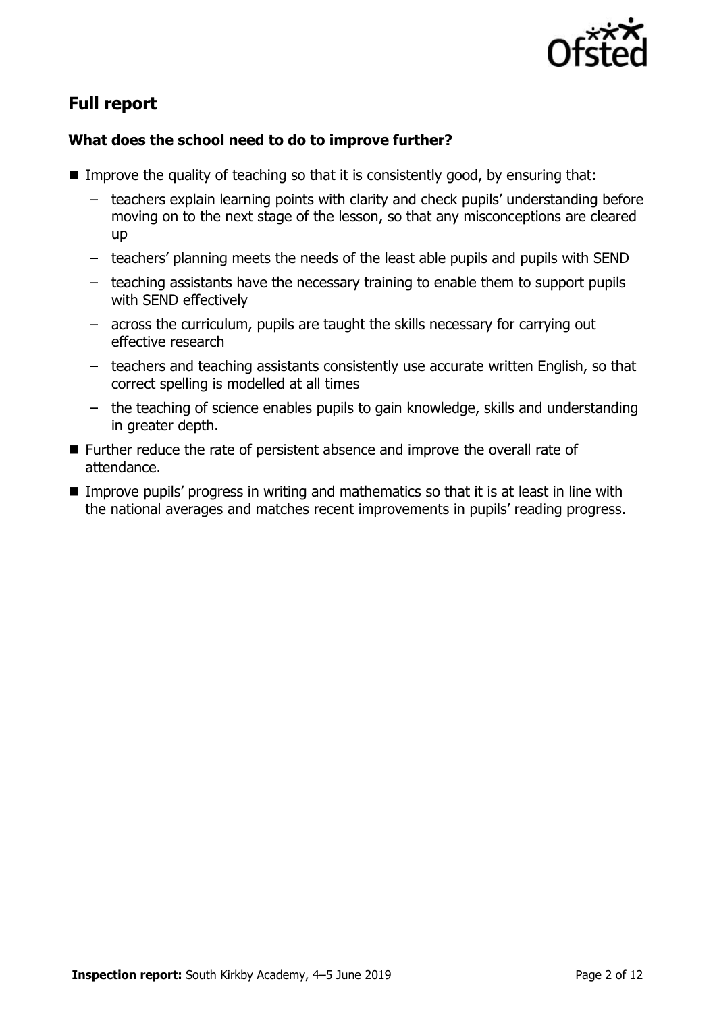

# **Full report**

# **What does the school need to do to improve further?**

- Improve the quality of teaching so that it is consistently good, by ensuring that:
	- teachers explain learning points with clarity and check pupils' understanding before moving on to the next stage of the lesson, so that any misconceptions are cleared up
	- teachers' planning meets the needs of the least able pupils and pupils with SEND
	- teaching assistants have the necessary training to enable them to support pupils with SEND effectively
	- across the curriculum, pupils are taught the skills necessary for carrying out effective research
	- teachers and teaching assistants consistently use accurate written English, so that correct spelling is modelled at all times
	- the teaching of science enables pupils to gain knowledge, skills and understanding in greater depth.
- Further reduce the rate of persistent absence and improve the overall rate of attendance.
- **IMPROVE PUPILS' progress in writing and mathematics so that it is at least in line with** the national averages and matches recent improvements in pupils' reading progress.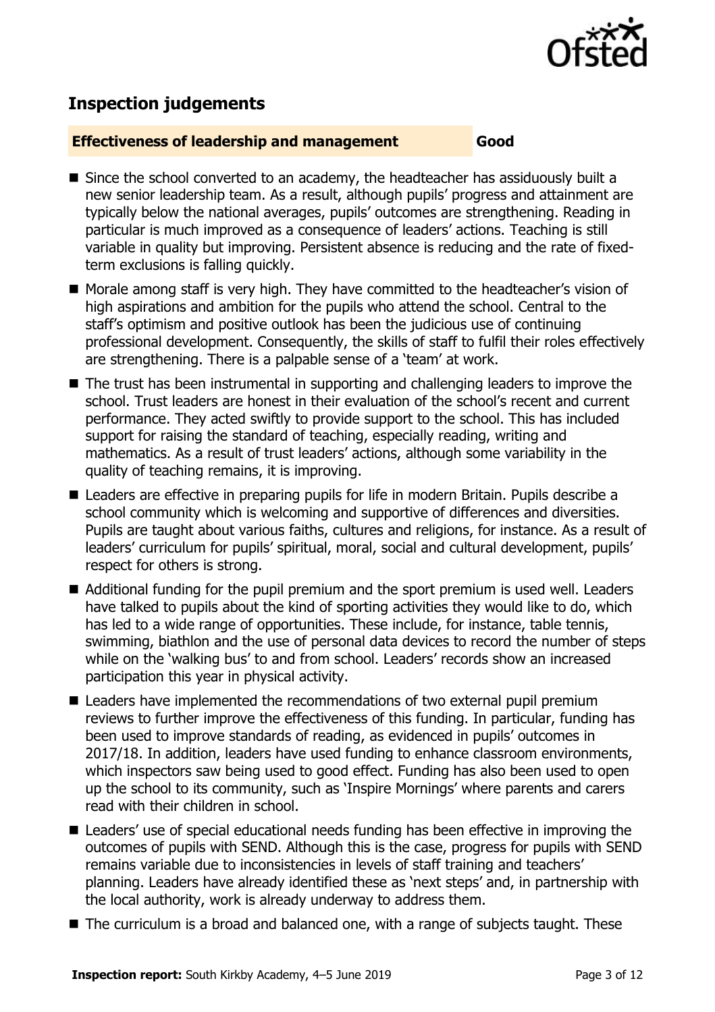

# **Inspection judgements**

## **Effectiveness of leadership and management Good**

- Since the school converted to an academy, the headteacher has assiduously built a new senior leadership team. As a result, although pupils' progress and attainment are typically below the national averages, pupils' outcomes are strengthening. Reading in particular is much improved as a consequence of leaders' actions. Teaching is still variable in quality but improving. Persistent absence is reducing and the rate of fixedterm exclusions is falling quickly.
- Morale among staff is very high. They have committed to the headteacher's vision of high aspirations and ambition for the pupils who attend the school. Central to the staff's optimism and positive outlook has been the judicious use of continuing professional development. Consequently, the skills of staff to fulfil their roles effectively are strengthening. There is a palpable sense of a 'team' at work.
- The trust has been instrumental in supporting and challenging leaders to improve the school. Trust leaders are honest in their evaluation of the school's recent and current performance. They acted swiftly to provide support to the school. This has included support for raising the standard of teaching, especially reading, writing and mathematics. As a result of trust leaders' actions, although some variability in the quality of teaching remains, it is improving.
- Leaders are effective in preparing pupils for life in modern Britain. Pupils describe a school community which is welcoming and supportive of differences and diversities. Pupils are taught about various faiths, cultures and religions, for instance. As a result of leaders' curriculum for pupils' spiritual, moral, social and cultural development, pupils' respect for others is strong.
- Additional funding for the pupil premium and the sport premium is used well. Leaders have talked to pupils about the kind of sporting activities they would like to do, which has led to a wide range of opportunities. These include, for instance, table tennis, swimming, biathlon and the use of personal data devices to record the number of steps while on the 'walking bus' to and from school. Leaders' records show an increased participation this year in physical activity.
- Leaders have implemented the recommendations of two external pupil premium reviews to further improve the effectiveness of this funding. In particular, funding has been used to improve standards of reading, as evidenced in pupils' outcomes in 2017/18. In addition, leaders have used funding to enhance classroom environments, which inspectors saw being used to good effect. Funding has also been used to open up the school to its community, such as 'Inspire Mornings' where parents and carers read with their children in school.
- Leaders' use of special educational needs funding has been effective in improving the outcomes of pupils with SEND. Although this is the case, progress for pupils with SEND remains variable due to inconsistencies in levels of staff training and teachers' planning. Leaders have already identified these as 'next steps' and, in partnership with the local authority, work is already underway to address them.
- The curriculum is a broad and balanced one, with a range of subjects taught. These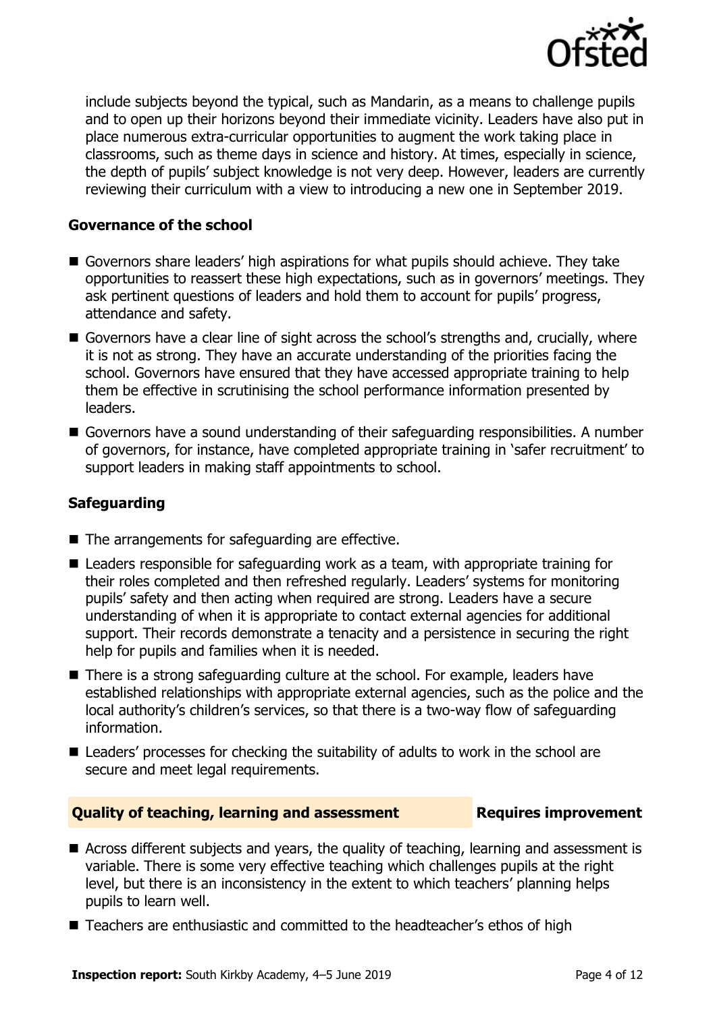

include subjects beyond the typical, such as Mandarin, as a means to challenge pupils and to open up their horizons beyond their immediate vicinity. Leaders have also put in place numerous extra-curricular opportunities to augment the work taking place in classrooms, such as theme days in science and history. At times, especially in science, the depth of pupils' subject knowledge is not very deep. However, leaders are currently reviewing their curriculum with a view to introducing a new one in September 2019.

# **Governance of the school**

- Governors share leaders' high aspirations for what pupils should achieve. They take opportunities to reassert these high expectations, such as in governors' meetings. They ask pertinent questions of leaders and hold them to account for pupils' progress, attendance and safety.
- Governors have a clear line of sight across the school's strengths and, crucially, where it is not as strong. They have an accurate understanding of the priorities facing the school. Governors have ensured that they have accessed appropriate training to help them be effective in scrutinising the school performance information presented by leaders.
- Governors have a sound understanding of their safeguarding responsibilities. A number of governors, for instance, have completed appropriate training in 'safer recruitment' to support leaders in making staff appointments to school.

# **Safeguarding**

- $\blacksquare$  The arrangements for safeguarding are effective.
- Leaders responsible for safeguarding work as a team, with appropriate training for their roles completed and then refreshed regularly. Leaders' systems for monitoring pupils' safety and then acting when required are strong. Leaders have a secure understanding of when it is appropriate to contact external agencies for additional support. Their records demonstrate a tenacity and a persistence in securing the right help for pupils and families when it is needed.
- There is a strong safeguarding culture at the school. For example, leaders have established relationships with appropriate external agencies, such as the police and the local authority's children's services, so that there is a two-way flow of safeguarding information.
- Leaders' processes for checking the suitability of adults to work in the school are secure and meet legal requirements.

## **Quality of teaching, learning and assessment Requires improvement**

- Across different subjects and years, the quality of teaching, learning and assessment is variable. There is some very effective teaching which challenges pupils at the right level, but there is an inconsistency in the extent to which teachers' planning helps pupils to learn well.
- Teachers are enthusiastic and committed to the headteacher's ethos of high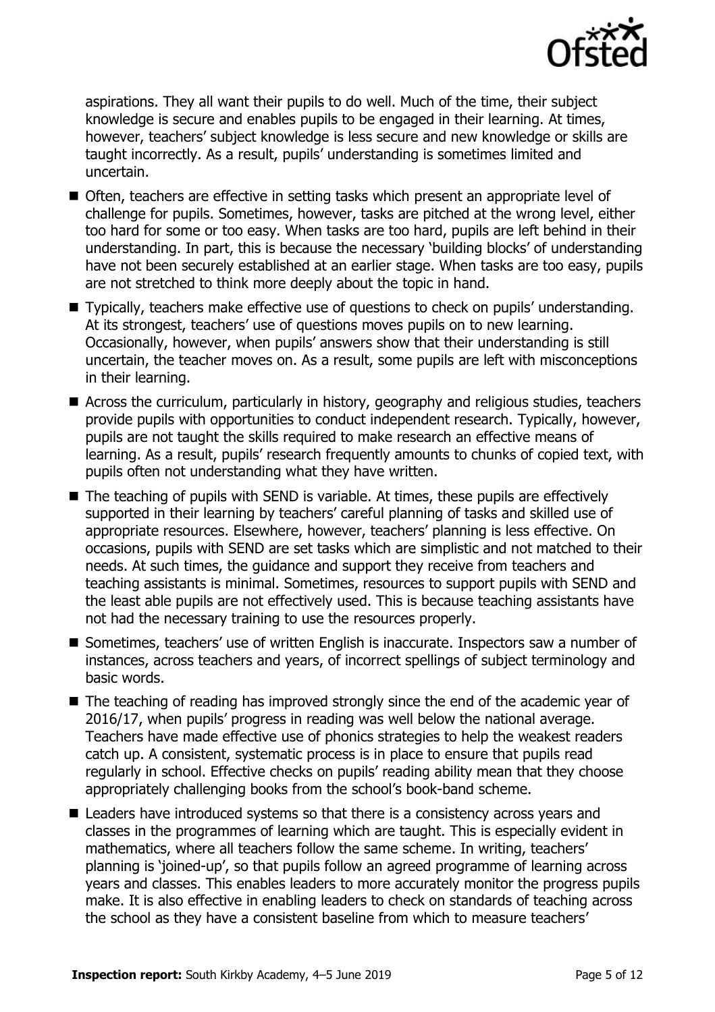

aspirations. They all want their pupils to do well. Much of the time, their subject knowledge is secure and enables pupils to be engaged in their learning. At times, however, teachers' subject knowledge is less secure and new knowledge or skills are taught incorrectly. As a result, pupils' understanding is sometimes limited and uncertain.

- Often, teachers are effective in setting tasks which present an appropriate level of challenge for pupils. Sometimes, however, tasks are pitched at the wrong level, either too hard for some or too easy. When tasks are too hard, pupils are left behind in their understanding. In part, this is because the necessary 'building blocks' of understanding have not been securely established at an earlier stage. When tasks are too easy, pupils are not stretched to think more deeply about the topic in hand.
- Typically, teachers make effective use of questions to check on pupils' understanding. At its strongest, teachers' use of questions moves pupils on to new learning. Occasionally, however, when pupils' answers show that their understanding is still uncertain, the teacher moves on. As a result, some pupils are left with misconceptions in their learning.
- Across the curriculum, particularly in history, geography and religious studies, teachers provide pupils with opportunities to conduct independent research. Typically, however, pupils are not taught the skills required to make research an effective means of learning. As a result, pupils' research frequently amounts to chunks of copied text, with pupils often not understanding what they have written.
- $\blacksquare$  The teaching of pupils with SEND is variable. At times, these pupils are effectively supported in their learning by teachers' careful planning of tasks and skilled use of appropriate resources. Elsewhere, however, teachers' planning is less effective. On occasions, pupils with SEND are set tasks which are simplistic and not matched to their needs. At such times, the guidance and support they receive from teachers and teaching assistants is minimal. Sometimes, resources to support pupils with SEND and the least able pupils are not effectively used. This is because teaching assistants have not had the necessary training to use the resources properly.
- Sometimes, teachers' use of written English is inaccurate. Inspectors saw a number of instances, across teachers and years, of incorrect spellings of subject terminology and basic words.
- The teaching of reading has improved strongly since the end of the academic year of 2016/17, when pupils' progress in reading was well below the national average. Teachers have made effective use of phonics strategies to help the weakest readers catch up. A consistent, systematic process is in place to ensure that pupils read regularly in school. Effective checks on pupils' reading ability mean that they choose appropriately challenging books from the school's book-band scheme.
- Leaders have introduced systems so that there is a consistency across years and classes in the programmes of learning which are taught. This is especially evident in mathematics, where all teachers follow the same scheme. In writing, teachers' planning is 'joined-up', so that pupils follow an agreed programme of learning across years and classes. This enables leaders to more accurately monitor the progress pupils make. It is also effective in enabling leaders to check on standards of teaching across the school as they have a consistent baseline from which to measure teachers'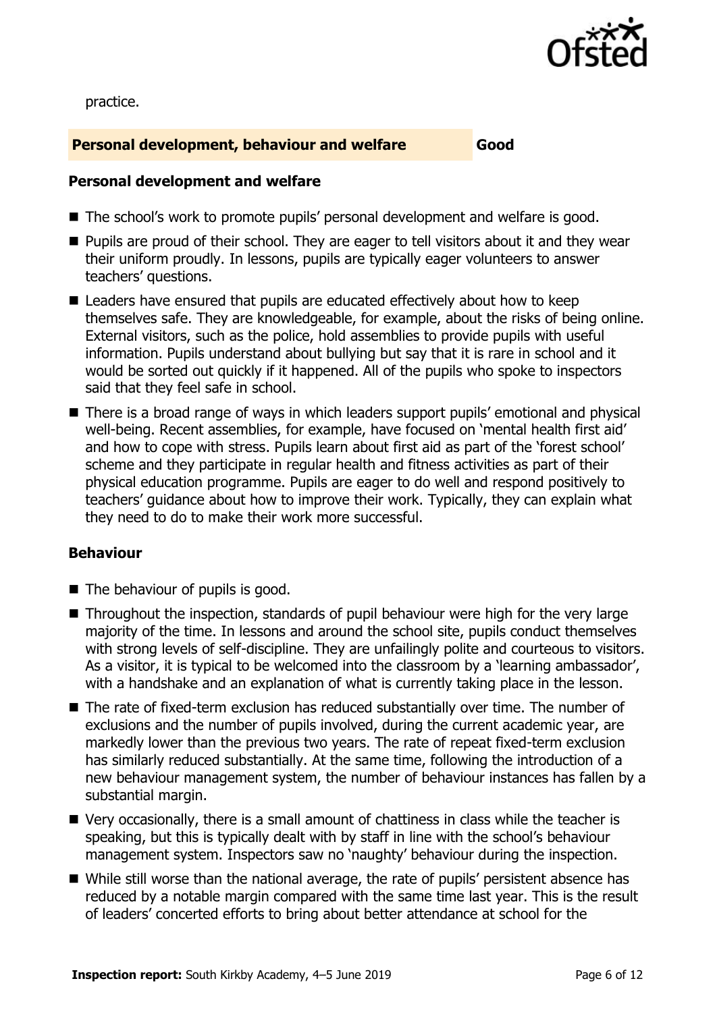

practice.

# **Personal development, behaviour and welfare Good**

# **Personal development and welfare**

- The school's work to promote pupils' personal development and welfare is good.
- **Pupils are proud of their school. They are eager to tell visitors about it and they wear** their uniform proudly. In lessons, pupils are typically eager volunteers to answer teachers' questions.
- Leaders have ensured that pupils are educated effectively about how to keep themselves safe. They are knowledgeable, for example, about the risks of being online. External visitors, such as the police, hold assemblies to provide pupils with useful information. Pupils understand about bullying but say that it is rare in school and it would be sorted out quickly if it happened. All of the pupils who spoke to inspectors said that they feel safe in school.
- There is a broad range of ways in which leaders support pupils' emotional and physical well-being. Recent assemblies, for example, have focused on 'mental health first aid' and how to cope with stress. Pupils learn about first aid as part of the 'forest school' scheme and they participate in regular health and fitness activities as part of their physical education programme. Pupils are eager to do well and respond positively to teachers' guidance about how to improve their work. Typically, they can explain what they need to do to make their work more successful.

# **Behaviour**

- The behaviour of pupils is good.
- Throughout the inspection, standards of pupil behaviour were high for the very large majority of the time. In lessons and around the school site, pupils conduct themselves with strong levels of self-discipline. They are unfailingly polite and courteous to visitors. As a visitor, it is typical to be welcomed into the classroom by a 'learning ambassador', with a handshake and an explanation of what is currently taking place in the lesson.
- The rate of fixed-term exclusion has reduced substantially over time. The number of exclusions and the number of pupils involved, during the current academic year, are markedly lower than the previous two years. The rate of repeat fixed-term exclusion has similarly reduced substantially. At the same time, following the introduction of a new behaviour management system, the number of behaviour instances has fallen by a substantial margin.
- Very occasionally, there is a small amount of chattiness in class while the teacher is speaking, but this is typically dealt with by staff in line with the school's behaviour management system. Inspectors saw no 'naughty' behaviour during the inspection.
- While still worse than the national average, the rate of pupils' persistent absence has reduced by a notable margin compared with the same time last year. This is the result of leaders' concerted efforts to bring about better attendance at school for the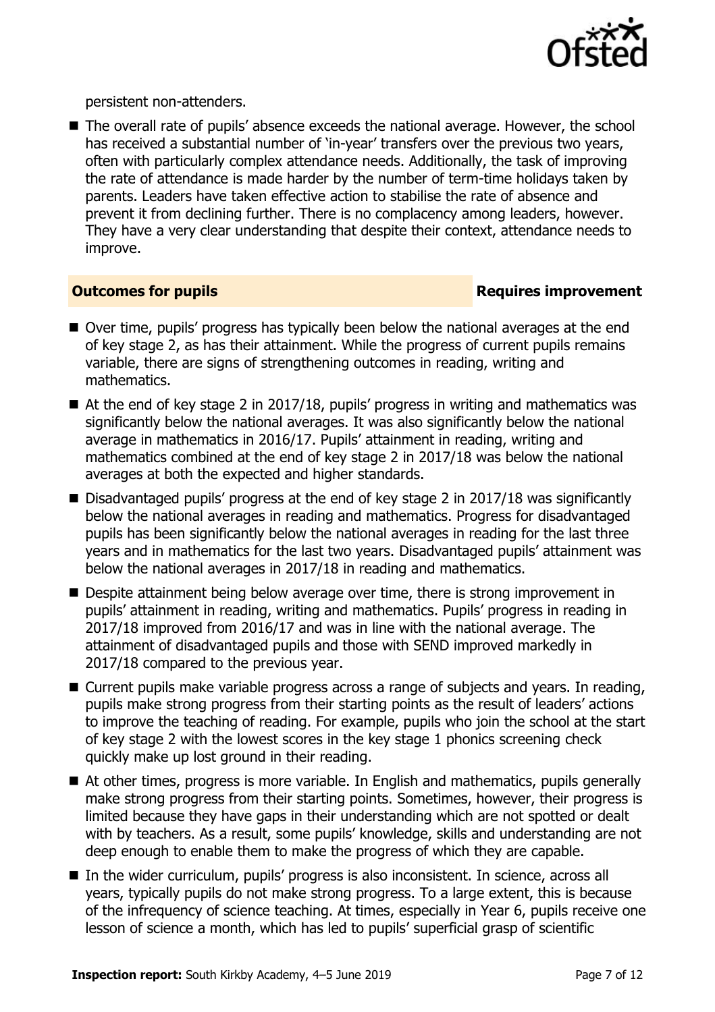

persistent non-attenders.

■ The overall rate of pupils' absence exceeds the national average. However, the school has received a substantial number of 'in-year' transfers over the previous two years, often with particularly complex attendance needs. Additionally, the task of improving the rate of attendance is made harder by the number of term-time holidays taken by parents. Leaders have taken effective action to stabilise the rate of absence and prevent it from declining further. There is no complacency among leaders, however. They have a very clear understanding that despite their context, attendance needs to improve.

# **Outcomes for pupils Requires improvement**

- Over time, pupils' progress has typically been below the national averages at the end of key stage 2, as has their attainment. While the progress of current pupils remains variable, there are signs of strengthening outcomes in reading, writing and mathematics.
- At the end of key stage 2 in 2017/18, pupils' progress in writing and mathematics was significantly below the national averages. It was also significantly below the national average in mathematics in 2016/17. Pupils' attainment in reading, writing and mathematics combined at the end of key stage 2 in 2017/18 was below the national averages at both the expected and higher standards.
- Disadvantaged pupils' progress at the end of key stage 2 in 2017/18 was significantly below the national averages in reading and mathematics. Progress for disadvantaged pupils has been significantly below the national averages in reading for the last three years and in mathematics for the last two years. Disadvantaged pupils' attainment was below the national averages in 2017/18 in reading and mathematics.
- Despite attainment being below average over time, there is strong improvement in pupils' attainment in reading, writing and mathematics. Pupils' progress in reading in 2017/18 improved from 2016/17 and was in line with the national average. The attainment of disadvantaged pupils and those with SEND improved markedly in 2017/18 compared to the previous year.
- Current pupils make variable progress across a range of subjects and vears. In reading, pupils make strong progress from their starting points as the result of leaders' actions to improve the teaching of reading. For example, pupils who join the school at the start of key stage 2 with the lowest scores in the key stage 1 phonics screening check quickly make up lost ground in their reading.
- At other times, progress is more variable. In English and mathematics, pupils generally make strong progress from their starting points. Sometimes, however, their progress is limited because they have gaps in their understanding which are not spotted or dealt with by teachers. As a result, some pupils' knowledge, skills and understanding are not deep enough to enable them to make the progress of which they are capable.
- In the wider curriculum, pupils' progress is also inconsistent. In science, across all years, typically pupils do not make strong progress. To a large extent, this is because of the infrequency of science teaching. At times, especially in Year 6, pupils receive one lesson of science a month, which has led to pupils' superficial grasp of scientific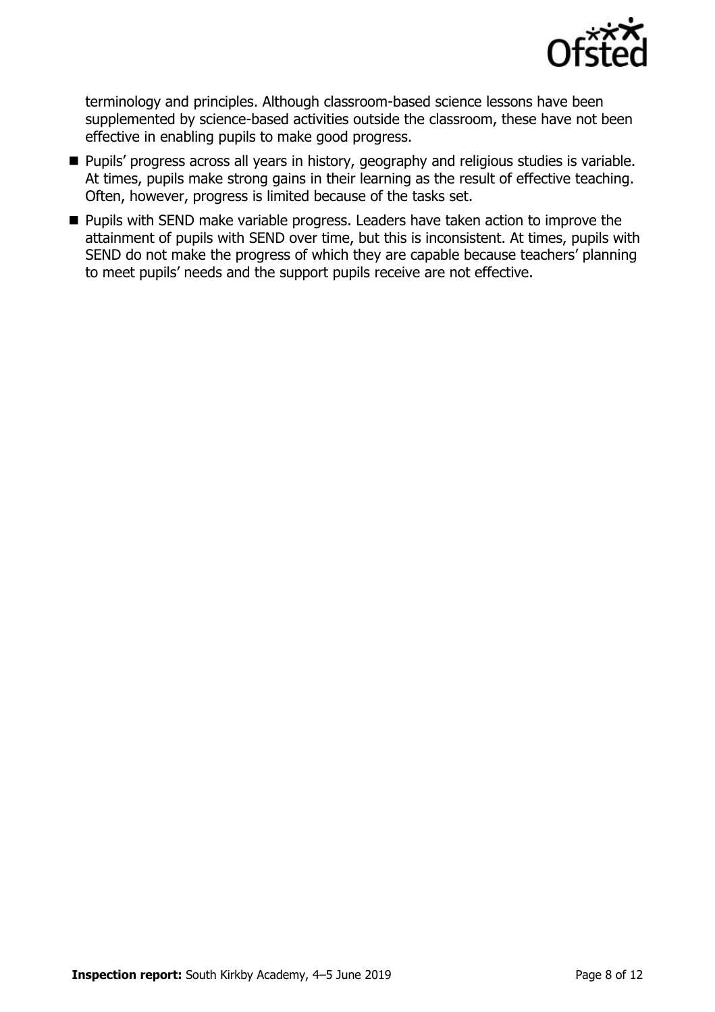

terminology and principles. Although classroom-based science lessons have been supplemented by science-based activities outside the classroom, these have not been effective in enabling pupils to make good progress.

- **Pupils' progress across all years in history, geography and religious studies is variable.** At times, pupils make strong gains in their learning as the result of effective teaching. Often, however, progress is limited because of the tasks set.
- **Pupils with SEND make variable progress. Leaders have taken action to improve the** attainment of pupils with SEND over time, but this is inconsistent. At times, pupils with SEND do not make the progress of which they are capable because teachers' planning to meet pupils' needs and the support pupils receive are not effective.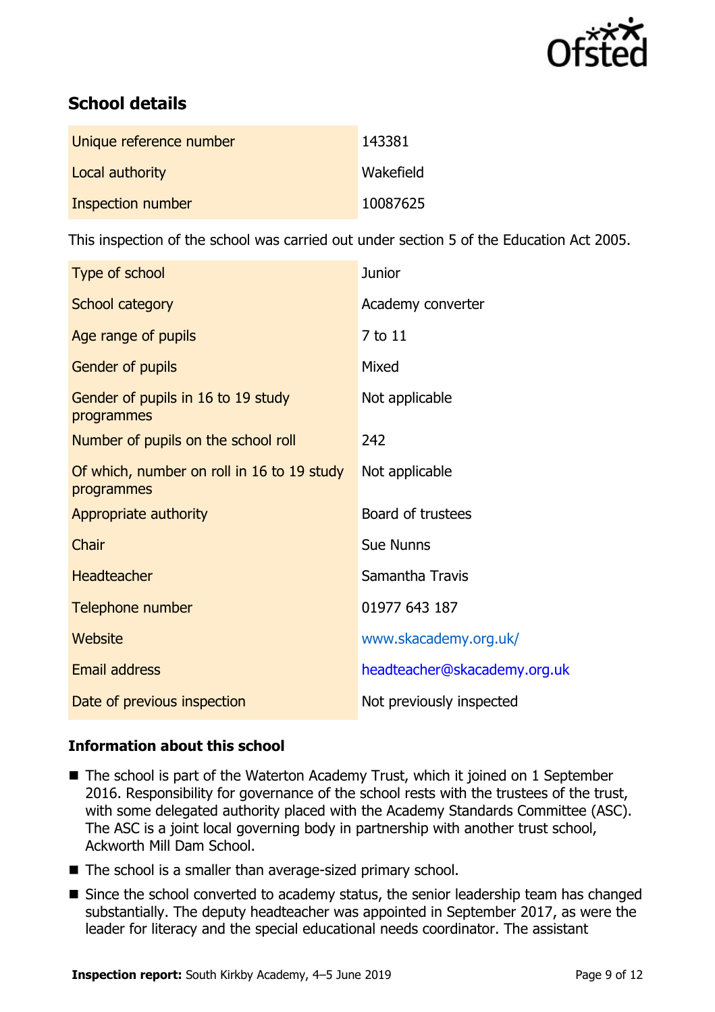

# **School details**

| Unique reference number | 143381    |
|-------------------------|-----------|
| Local authority         | Wakefield |
| Inspection number       | 10087625  |

This inspection of the school was carried out under section 5 of the Education Act 2005.

| Type of school                                           | <b>Junior</b>                |
|----------------------------------------------------------|------------------------------|
| School category                                          | Academy converter            |
| Age range of pupils                                      | 7 to 11                      |
| Gender of pupils                                         | Mixed                        |
| Gender of pupils in 16 to 19 study<br>programmes         | Not applicable               |
| Number of pupils on the school roll                      | 242                          |
| Of which, number on roll in 16 to 19 study<br>programmes | Not applicable               |
| Appropriate authority                                    | Board of trustees            |
| Chair                                                    | <b>Sue Nunns</b>             |
| <b>Headteacher</b>                                       | Samantha Travis              |
| Telephone number                                         | 01977 643 187                |
| Website                                                  | www.skacademy.org.uk/        |
| <b>Email address</b>                                     | headteacher@skacademy.org.uk |
| Date of previous inspection                              | Not previously inspected     |

# **Information about this school**

- The school is part of the Waterton Academy Trust, which it joined on 1 September 2016. Responsibility for governance of the school rests with the trustees of the trust, with some delegated authority placed with the Academy Standards Committee (ASC). The ASC is a joint local governing body in partnership with another trust school, Ackworth Mill Dam School.
- The school is a smaller than average-sized primary school.
- Since the school converted to academy status, the senior leadership team has changed substantially. The deputy headteacher was appointed in September 2017, as were the leader for literacy and the special educational needs coordinator. The assistant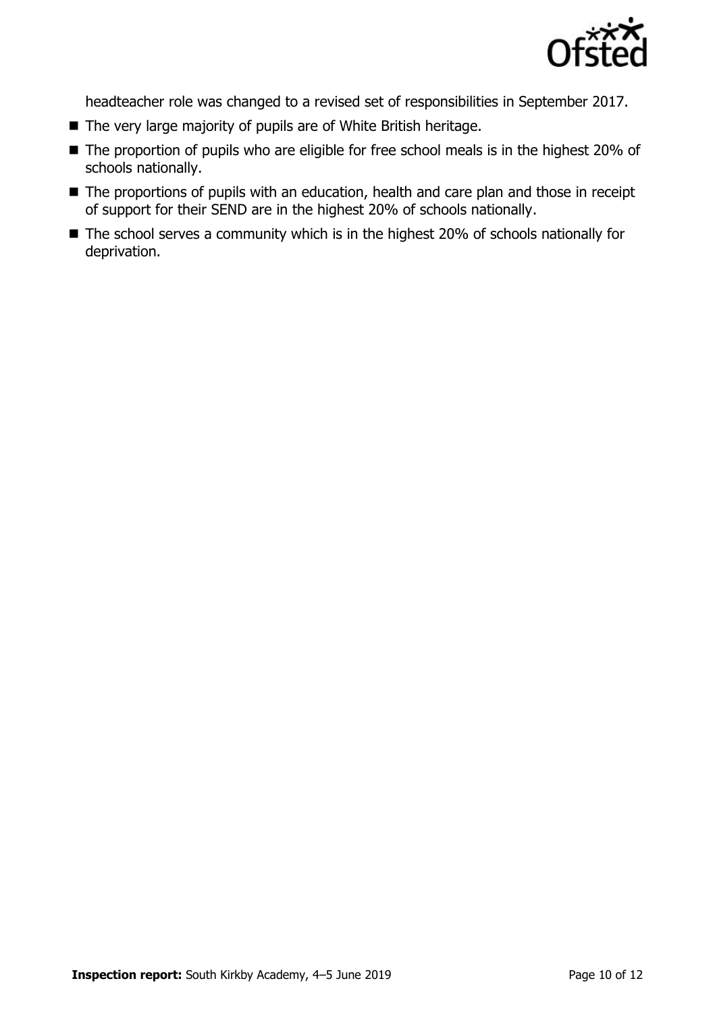

headteacher role was changed to a revised set of responsibilities in September 2017.

- The very large majority of pupils are of White British heritage.
- The proportion of pupils who are eligible for free school meals is in the highest 20% of schools nationally.
- The proportions of pupils with an education, health and care plan and those in receipt of support for their SEND are in the highest 20% of schools nationally.
- The school serves a community which is in the highest 20% of schools nationally for deprivation.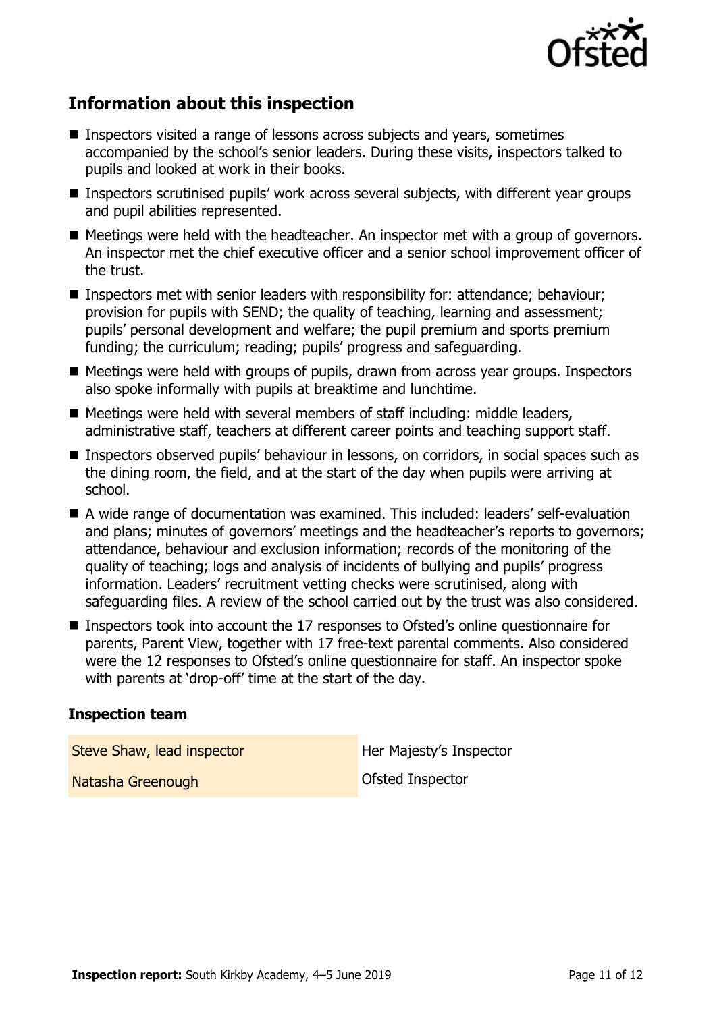

# **Information about this inspection**

- Inspectors visited a range of lessons across subjects and vears, sometimes accompanied by the school's senior leaders. During these visits, inspectors talked to pupils and looked at work in their books.
- Inspectors scrutinised pupils' work across several subjects, with different year groups and pupil abilities represented.
- Meetings were held with the headteacher. An inspector met with a group of governors. An inspector met the chief executive officer and a senior school improvement officer of the trust.
- **Inspectors met with senior leaders with responsibility for: attendance; behaviour;** provision for pupils with SEND; the quality of teaching, learning and assessment; pupils' personal development and welfare; the pupil premium and sports premium funding; the curriculum; reading; pupils' progress and safeguarding.
- Meetings were held with groups of pupils, drawn from across year groups. Inspectors also spoke informally with pupils at breaktime and lunchtime.
- Meetings were held with several members of staff including: middle leaders, administrative staff, teachers at different career points and teaching support staff.
- Inspectors observed pupils' behaviour in lessons, on corridors, in social spaces such as the dining room, the field, and at the start of the day when pupils were arriving at school.
- A wide range of documentation was examined. This included: leaders' self-evaluation and plans; minutes of governors' meetings and the headteacher's reports to governors; attendance, behaviour and exclusion information; records of the monitoring of the quality of teaching; logs and analysis of incidents of bullying and pupils' progress information. Leaders' recruitment vetting checks were scrutinised, along with safeguarding files. A review of the school carried out by the trust was also considered.
- Inspectors took into account the 17 responses to Ofsted's online questionnaire for parents, Parent View, together with 17 free-text parental comments. Also considered were the 12 responses to Ofsted's online questionnaire for staff. An inspector spoke with parents at 'drop-off' time at the start of the day.

## **Inspection team**

Steve Shaw, lead inspector **Her Majesty's Inspector** 

Natasha Greenough Ofsted Inspector